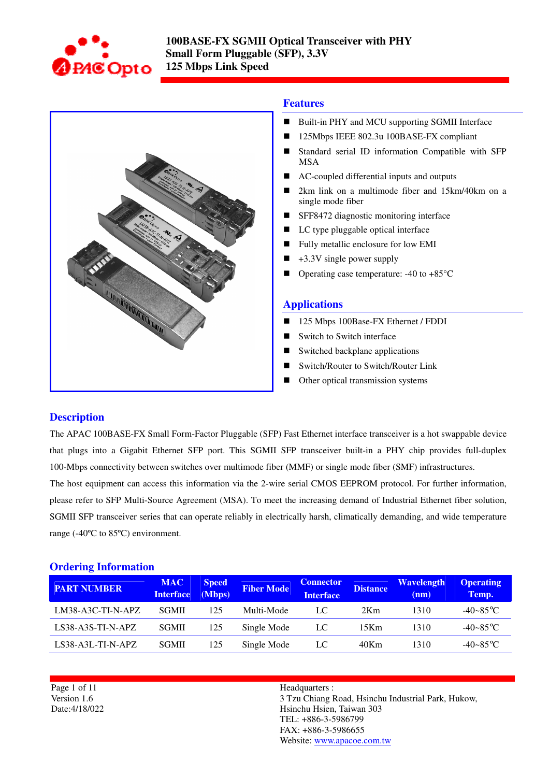



### **Features**

- Built-in PHY and MCU supporting SGMII Interface
- 125Mbps IEEE 802.3u 100BASE-FX compliant
- Standard serial ID information Compatible with SFP MSA
- AC-coupled differential inputs and outputs
- 2km link on a multimode fiber and 15km/40km on a single mode fiber
- **SFF8472** diagnostic monitoring interface
- LC type pluggable optical interface
- **Fully metallic enclosure for low EMI**
- $\blacksquare$  +3.3V single power supply
- Operating case temperature:  $-40$  to  $+85^{\circ}$ C

#### **Applications**

- 125 Mbps 100Base-FX Ethernet / FDDI
- Switch to Switch interface
- Switched backplane applications
- Switch/Router to Switch/Router Link
- Other optical transmission systems

### **Description**

The APAC 100BASE-FX Small Form-Factor Pluggable (SFP) Fast Ethernet interface transceiver is a hot swappable device that plugs into a Gigabit Ethernet SFP port. This SGMII SFP transceiver built-in a PHY chip provides full-duplex 100-Mbps connectivity between switches over multimode fiber (MMF) or single mode fiber (SMF) infrastructures.

The host equipment can access this information via the 2-wire serial CMOS EEPROM protocol. For further information, please refer to SFP Multi-Source Agreement (MSA). To meet the increasing demand of Industrial Ethernet fiber solution, SGMII SFP transceiver series that can operate reliably in electrically harsh, climatically demanding, and wide temperature range (-40ºC to 85ºC) environment.

#### **Ordering Information**

| <b>PART NUMBER</b>  | <b>MAC</b><br><b>Interface</b> | <b>Speed</b><br>(Mbps) | <b>Fiber Mode</b> | <b>Connector</b><br><b>Interface</b> | <b>Distance</b> | <b>Wavelength</b><br>(nm) | <b>Operating</b><br>Temp. |
|---------------------|--------------------------------|------------------------|-------------------|--------------------------------------|-----------------|---------------------------|---------------------------|
| LM38-A3C-TI-N-APZ   | <b>SGMII</b>                   | 125                    | Multi-Mode        | LC                                   | 2Km             | 1310                      | $-40 - 85$ °C             |
| $LS38-A3S-TI-N-APZ$ | <b>SGMII</b>                   | 125                    | Single Mode       | LC                                   | 15Km            | 1310                      | $-40 - 85$ °C             |
| $LS38-A3L-TI-N-APZ$ | <b>SGMII</b>                   | 125                    | Single Mode       | LC                                   | $40$ Km         | 1310                      | $-40 - 85$ °C             |

Page 1 of 11 Version 1.6 Date:4/18/022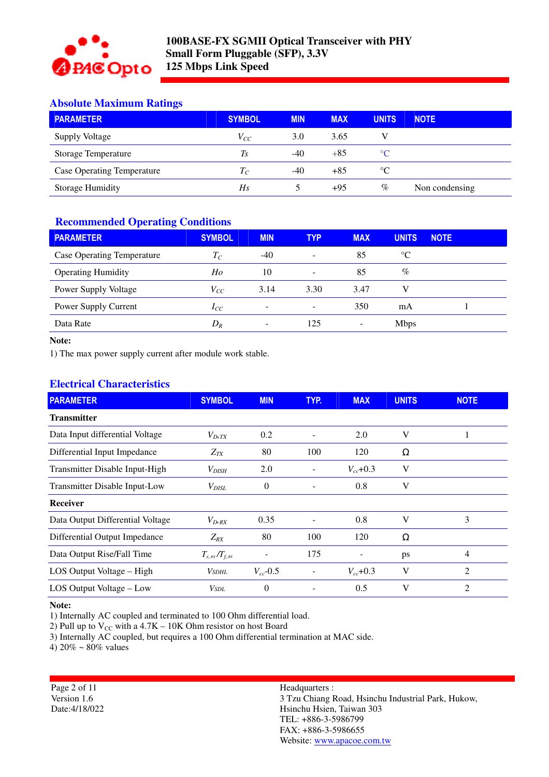

# **Absolute Maximum Ratings**

| <b>PARAMETER</b>                  | <b>SYMBOL</b> | <b>MIN</b> | <b>MAX</b> | <b>UNITS</b>    | <b>NOTE</b>    |
|-----------------------------------|---------------|------------|------------|-----------------|----------------|
| Supply Voltage                    | $V_{CC}$      | 3.0        | 3.65       |                 |                |
| <b>Storage Temperature</b>        | $T_{S}$       | $-40$      | $+85$      | $\rm ^{\circ}C$ |                |
| <b>Case Operating Temperature</b> | $T_C$         | $-40$      | $+85$      | $\rm ^{\circ}C$ |                |
| Storage Humidity                  | Hs            |            | $+95$      | %               | Non condensing |

# **Recommended Operating Conditions**

| <b>PARAMETER</b>                  | <b>SYMBOL</b> | <b>MIN</b> | <b>TYP</b>                   | <b>MAX</b>               | <b>UNITS</b>    | <b>NOTE</b> |
|-----------------------------------|---------------|------------|------------------------------|--------------------------|-----------------|-------------|
| <b>Case Operating Temperature</b> | $T_C$         | $-40$      | $\qquad \qquad \blacksquare$ | 85                       | $\rm ^{\circ}C$ |             |
| <b>Operating Humidity</b>         | Ho            | 10         | $\qquad \qquad \blacksquare$ | 85                       | $\%$            |             |
| Power Supply Voltage              | $V_{CC}$      | 3.14       | 3.30                         | 3.47                     | V               |             |
| Power Supply Current              | $I_{CC}$      | -          | $\qquad \qquad \blacksquare$ | 350                      | mA              |             |
| Data Rate                         | $D_R$         | -          | 125                          | $\overline{\phantom{a}}$ | <b>Mbps</b>     |             |

### **Note:**

1) The max power supply current after module work stable.

# **Electrical Characteristics**

| <b>PARAMETER</b>                     | <b>SYMBOL</b>       | <b>MIN</b>    | TYP.                     | <b>MAX</b>    | <b>UNITS</b> | <b>NOTE</b>    |
|--------------------------------------|---------------------|---------------|--------------------------|---------------|--------------|----------------|
| <b>Transmitter</b>                   |                     |               |                          |               |              |                |
| Data Input differential Voltage      | $V_{D,TX}$          | 0.2           | $\overline{a}$           | 2.0           | V            |                |
| Differential Input Impedance         | $Z_{TX}$            | 80            | 100                      | 120           | Ω            |                |
| Transmitter Disable Input-High       | $V_{DISH}$          | 2.0           |                          | $V_{cc}$ +0.3 | V            |                |
| <b>Transmitter Disable Input-Low</b> | $V_{DISL}$          | $\theta$      |                          | 0.8           | V            |                |
| Receiver                             |                     |               |                          |               |              |                |
| Data Output Differential Voltage     | $V_{D R X}$         | 0.35          |                          | 0.8           | V            | 3              |
| Differential Output Impedance        | $Z_{RX}$            | 80            | 100                      | 120           | $\Omega$     |                |
| Data Output Rise/Fall Time           | $T_{r,xx}/T_{f,xx}$ | -             | 175                      |               | ps           | $\overline{4}$ |
| LOS Output Voltage – High            | Vsdhl               | $V_{cc}$ -0.5 | $\overline{\phantom{a}}$ | $V_{cc}$ +0.3 | V            | 2              |
| LOS Output Voltage - Low             | Vsdl                | $\theta$      |                          | 0.5           | V            | $\overline{2}$ |

#### **Note:**

1) Internally AC coupled and terminated to 100 Ohm differential load.

2) Pull up to  $V_{CC}$  with a 4.7K – 10K Ohm resistor on host Board

3) Internally AC coupled, but requires a 100 Ohm differential termination at MAC side.

4)  $20\% \sim 80\%$  values

Page 2 of 11 Version 1.6 Date:4/18/022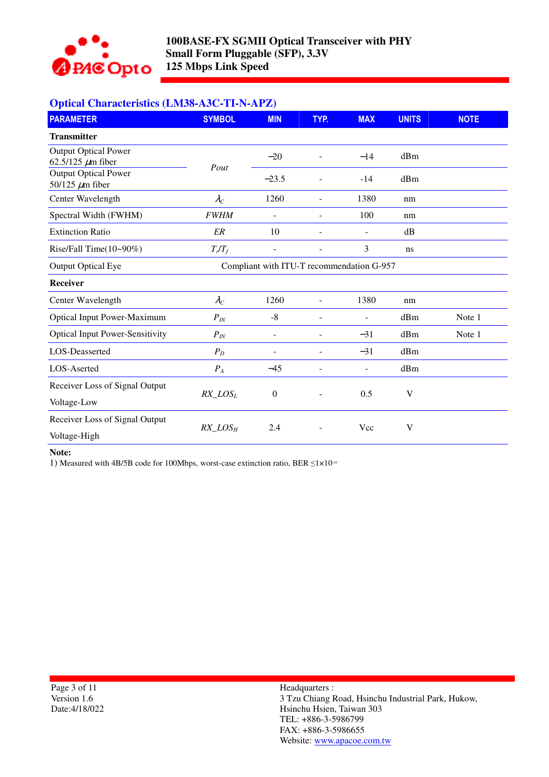

# **Optical Characteristics (LM38-A3C-TI-N-APZ)**

| <b>PARAMETER</b>                                      | <b>SYMBOL</b>                             | <b>MIN</b>               | TYP.                     | <b>MAX</b>     | <b>UNITS</b>            | <b>NOTE</b> |
|-------------------------------------------------------|-------------------------------------------|--------------------------|--------------------------|----------------|-------------------------|-------------|
| <b>Transmitter</b>                                    |                                           |                          |                          |                |                         |             |
| <b>Output Optical Power</b><br>62.5/125 $\mu$ m fiber | Pout                                      | $-20$                    | $\overline{\phantom{m}}$ | $-14$          | dBm                     |             |
| <b>Output Optical Power</b><br>50/125 $\mu$ m fiber   |                                           | $-23.5$                  | $\overline{\phantom{m}}$ | $-14$          | dBm                     |             |
| Center Wavelength                                     | $\lambda_C$                               | 1260                     |                          | 1380           | nm                      |             |
| Spectral Width (FWHM)                                 | <b>FWHM</b>                               | $\overline{a}$           | $\blacksquare$           | 100            | nm                      |             |
| <b>Extinction Ratio</b>                               | ER                                        | 10                       |                          |                | dB                      |             |
| Rise/Fall Time $(10-90\%)$                            | $T_r/T_f$                                 |                          |                          | 3              | ns                      |             |
| <b>Output Optical Eye</b>                             | Compliant with ITU-T recommendation G-957 |                          |                          |                |                         |             |
| Receiver                                              |                                           |                          |                          |                |                         |             |
| Center Wavelength                                     | $\lambda_C$                               | 1260                     | L,                       | 1380           | nm                      |             |
| <b>Optical Input Power-Maximum</b>                    | $P_{I\!N}$                                | $-8$                     | $\blacksquare$           | $\blacksquare$ | dBm                     | Note 1      |
| <b>Optical Input Power-Sensitivity</b>                | $P_{I\!N}$                                | $\overline{\phantom{a}}$ | $\overline{\phantom{a}}$ | $-31$          | dBm                     | Note 1      |
| LOS-Deasserted                                        | $P_D$                                     | $\overline{a}$           |                          | $-31$          | dBm                     |             |
| LOS-Aserted                                           | ${\cal P}_A$                              | $-45$                    |                          |                | dBm                     |             |
| Receiver Loss of Signal Output                        | $RX\_LOS_L$                               | $\boldsymbol{0}$         |                          | 0.5            | $\overline{\mathsf{V}}$ |             |
| Voltage-Low                                           |                                           |                          |                          |                |                         |             |
| Receiver Loss of Signal Output                        | $RX\_LOS_H$                               | 2.4                      |                          | Vcc            | V                       |             |
| Voltage-High                                          |                                           |                          |                          |                |                         |             |

#### **Note:**

1) Measured with 4B/5B code for 100Mbps, worst-case extinction ratio, BER ≤1×10-10

Page 3 of 11 Version 1.6 Date:4/18/022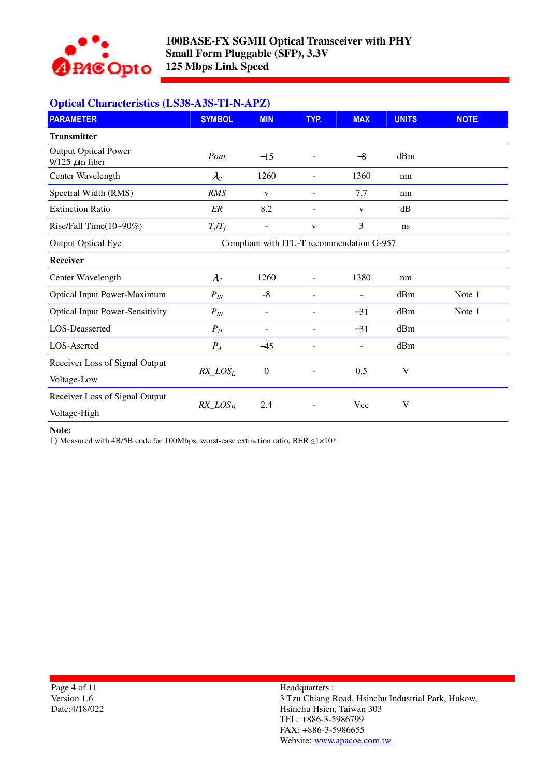

# **Optical Characteristics (LS38-A3S-TI-N-APZ)**

| <b>PARAMETER</b>                                     | <b>SYMBOL</b> | <b>MIN</b>               | TYP.                     | <b>MAX</b>                                | <b>UNITS</b> | <b>NOTE</b> |
|------------------------------------------------------|---------------|--------------------------|--------------------------|-------------------------------------------|--------------|-------------|
| <b>Transmitter</b>                                   |               |                          |                          |                                           |              |             |
| <b>Output Optical Power</b><br>$9/125 \ \mu m$ fiber | Pout          | $-15$                    | $\overline{\phantom{a}}$ | $-8$                                      | dBm          |             |
| Center Wavelength                                    | $\lambda_C$   | 1260                     | $\sim$                   | 1360                                      | nm           |             |
| Spectral Width (RMS)                                 | <b>RMS</b>    | V                        | $\overline{\phantom{a}}$ | 7.7                                       | nm           |             |
| <b>Extinction Ratio</b>                              | ER            | 8.2                      | $\overline{\phantom{a}}$ | V                                         | dB           |             |
| Rise/Fall Time $(10-90\%)$                           | $T_r/T_f$     | $\overline{\phantom{0}}$ | V                        | 3                                         | ns           |             |
| <b>Output Optical Eye</b>                            |               |                          |                          | Compliant with ITU-T recommendation G-957 |              |             |
| <b>Receiver</b>                                      |               |                          |                          |                                           |              |             |
| Center Wavelength                                    | $\lambda_C$   | 1260                     | $\blacksquare$           | 1380                                      | nm           |             |
| <b>Optical Input Power-Maximum</b>                   | $P_{I\!N}$    | $-8$                     |                          |                                           | dBm          | Note 1      |
| <b>Optical Input Power-Sensitivity</b>               | $P_{I\!N}$    |                          |                          | $-31$                                     | dBm          | Note 1      |
| LOS-Deasserted                                       | $P_D$         |                          | $\overline{a}$           | $-31$                                     | dBm          |             |
| LOS-Aserted                                          | $P_A$         | $-45$                    |                          |                                           | dBm          |             |
| Receiver Loss of Signal Output                       |               |                          |                          |                                           |              |             |
| Voltage-Low                                          | $RX\_LOS_L$   | $\boldsymbol{0}$         |                          | 0.5                                       | V            |             |
| Receiver Loss of Signal Output                       |               |                          |                          |                                           |              |             |
| Voltage-High                                         | $RX\_LOS_H$   | 2.4                      |                          | Vcc                                       | V            |             |

#### **Note:**

1) Measured with 4B/5B code for 100Mbps, worst-case extinction ratio, BER ≤1×10-10

Page 4 of 11 Version 1.6 Date:4/18/022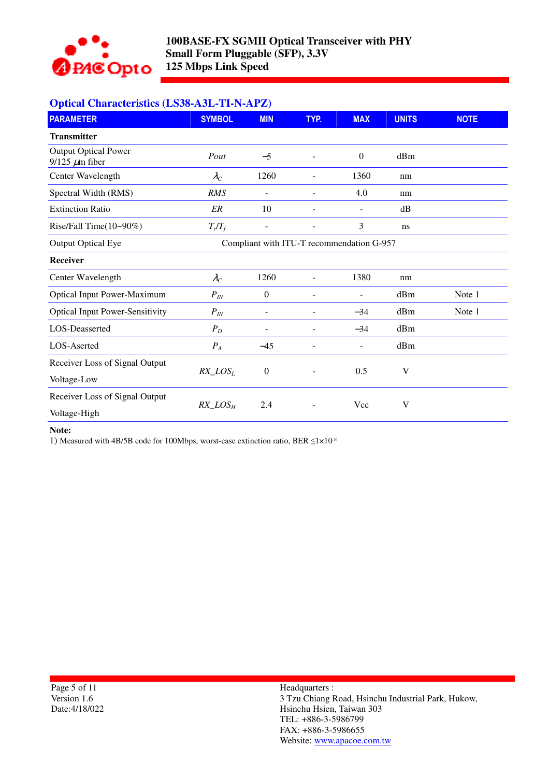

# **Optical Characteristics (LS38-A3L-TI-N-APZ)**

| <b>PARAMETER</b>                                     | <b>SYMBOL</b> | <b>MIN</b>       | TYP.                                      | <b>MAX</b>               | <b>UNITS</b> | <b>NOTE</b> |
|------------------------------------------------------|---------------|------------------|-------------------------------------------|--------------------------|--------------|-------------|
| <b>Transmitter</b>                                   |               |                  |                                           |                          |              |             |
| <b>Output Optical Power</b><br>$9/125 \ \mu m$ fiber | Pout          | $-5$             | $\overline{a}$                            | $\Omega$                 | dBm          |             |
| Center Wavelength                                    | $\lambda_C$   | 1260             | $\overline{\phantom{0}}$                  | 1360                     | nm           |             |
| Spectral Width (RMS)                                 | <b>RMS</b>    | ä,               | $\overline{\phantom{m}}$                  | 4.0                      | nm           |             |
| <b>Extinction Ratio</b>                              | ER            | 10               | $\overline{a}$                            |                          | dB           |             |
| Rise/Fall Time(10~90%)                               | $T_r/T_f$     | $\blacksquare$   | ÷,                                        | 3                        | ns           |             |
| <b>Output Optical Eye</b>                            |               |                  | Compliant with ITU-T recommendation G-957 |                          |              |             |
| <b>Receiver</b>                                      |               |                  |                                           |                          |              |             |
| Center Wavelength                                    | $\lambda_C$   | 1260             | $\overline{\phantom{m}}$                  | 1380                     | nm           |             |
| <b>Optical Input Power-Maximum</b>                   | $P_{I\!N}$    | $\overline{0}$   |                                           | $\overline{\phantom{a}}$ | dBm          | Note 1      |
| <b>Optical Input Power-Sensitivity</b>               | $P_{I\!N}$    |                  |                                           | $-34$                    | dBm          | Note 1      |
| LOS-Deasserted                                       | $P_D$         |                  |                                           | $-34$                    | dBm          |             |
| LOS-Aserted                                          | $P_A$         | $-45$            |                                           |                          | dBm          |             |
| Receiver Loss of Signal Output                       |               |                  |                                           |                          |              |             |
| Voltage-Low                                          | $RX\_LOS_L$   | $\boldsymbol{0}$ |                                           | 0.5                      | V            |             |
| Receiver Loss of Signal Output                       |               |                  |                                           |                          |              |             |
| Voltage-High                                         | $RX\_LOS_H$   | 2.4              |                                           | Vcc                      | $\mathbf V$  |             |

#### **Note:**

1) Measured with 4B/5B code for 100Mbps, worst-case extinction ratio, BER ≤1×10-10

Page 5 of 11 Version 1.6 Date:4/18/022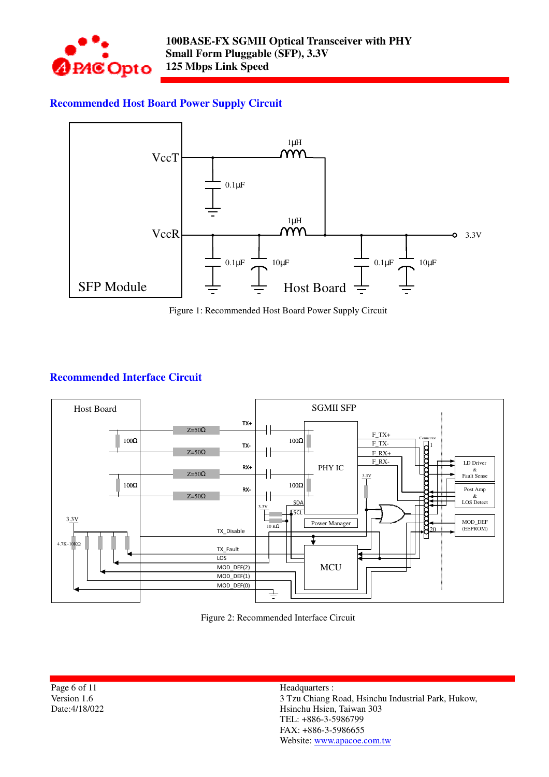

# **Recommended Host Board Power Supply Circuit**



Figure 1: Recommended Host Board Power Supply Circuit

# **Recommended Interface Circuit**



Figure 2: Recommended Interface Circuit

Page 6 of 11 Version 1.6 Date:4/18/022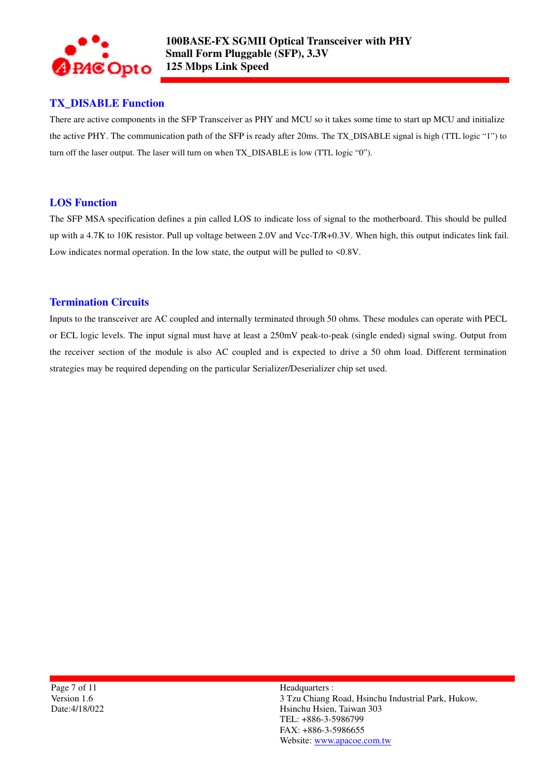

# **TX\_DISABLE Function**

There are active components in the SFP Transceiver as PHY and MCU so it takes some time to start up MCU and initialize the active PHY. The communication path of the SFP is ready after 20ms. The TX\_DISABLE signal is high (TTL logic "1") to turn off the laser output. The laser will turn on when TX\_DISABLE is low (TTL logic "0").

# **LOS Function**

The SFP MSA specification defines a pin called LOS to indicate loss of signal to the motherboard. This should be pulled up with a 4.7K to 10K resistor. Pull up voltage between 2.0V and Vcc-T/R+0.3V. When high, this output indicates link fail. Low indicates normal operation. In the low state, the output will be pulled to <0.8V.

### **Termination Circuits**

Inputs to the transceiver are AC coupled and internally terminated through 50 ohms. These modules can operate with PECL or ECL logic levels. The input signal must have at least a 250mV peak-to-peak (single ended) signal swing. Output from the receiver section of the module is also AC coupled and is expected to drive a 50 ohm load. Different termination strategies may be required depending on the particular Serializer/Deserializer chip set used.

Page 7 of 11 Version 1.6 Date:4/18/022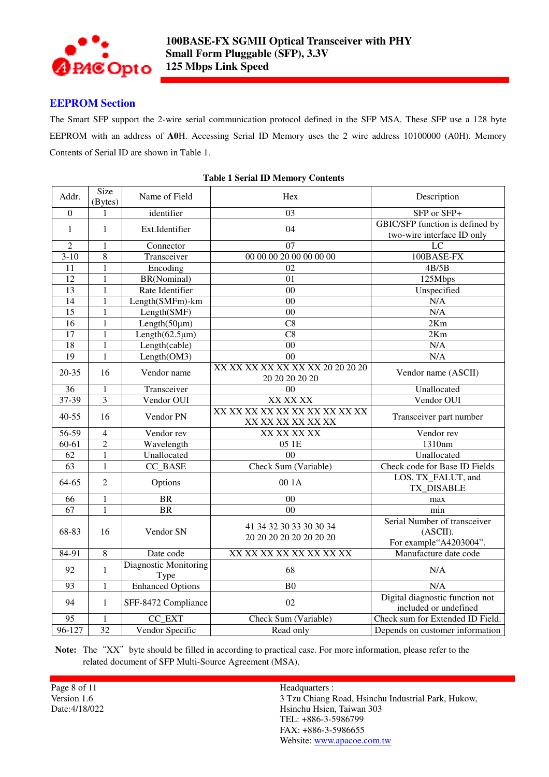

### **EEPROM Section**

The Smart SFP support the 2-wire serial communication protocol defined in the SFP MSA. These SFP use a 128 byte EEPROM with an address of **A0**H. Accessing Serial ID Memory uses the 2 wire address 10100000 (A0H). Memory Contents of Serial ID are shown in Table 1.

| Addr.           | Size<br>(Bytes) | Name of Field                        | Hex                                                | Description                                                         |
|-----------------|-----------------|--------------------------------------|----------------------------------------------------|---------------------------------------------------------------------|
| $\overline{0}$  | 1               | identifier                           | $\overline{03}$                                    | SFP or SFP+                                                         |
| 1               | 1               | Ext.Identifier                       | 04                                                 | GBIC/SFP function is defined by<br>two-wire interface ID only       |
| $\overline{2}$  | 1               | Connector                            | 07                                                 | LC                                                                  |
| $3 - 10$        | 8               | Transceiver                          | 00 00 00 20 00 00 00 00                            | 100BASE-FX                                                          |
| 11              | 1               | Encoding                             | 02                                                 | 4B/5B                                                               |
| 12              | 1               | BR(Nominal)                          | 01                                                 | 125Mbps                                                             |
| 13              | $\mathbf{1}$    | Rate Identifier                      | $00\,$                                             | Unspecified                                                         |
| 14              | 1               | Length(SMFm)-km                      | 00                                                 | N/A                                                                 |
| $\overline{15}$ | 1               | Length(SMF)                          | $00\,$                                             | N/A                                                                 |
| 16              | 1               | Length(50µm)                         | C8                                                 | 2Km                                                                 |
| 17              | $\mathbf{1}$    | Length $(62.5 \mu m)$                | $\overline{C8}$                                    | 2Km                                                                 |
| $\overline{18}$ | $\mathbf{1}$    | Length(cable)                        | $\overline{00}$                                    | N/A                                                                 |
| 19              | 1               | Length(OM3)                          | 0 <sub>0</sub>                                     | N/A                                                                 |
| $20 - 35$       | 16              | Vendor name                          | XX XX XX XX XX XX XX 20 20 20 20<br>20 20 20 20 20 | Vendor name (ASCII)                                                 |
| 36              | $\mathbf{1}$    | Transceiver                          | $00\,$                                             | Unallocated                                                         |
| $37 - 39$       | $\overline{3}$  | Vendor OUI                           | XX XX XX                                           | Vendor OUI                                                          |
| $40 - 55$       | 16              | Vendor PN                            | XX XX XX XX XX XX XX XX XX XX<br>XX XX XX XX XX XX | Transceiver part number                                             |
| 56-59           | $\overline{4}$  | Vendor rev                           | XX XX XX XX                                        | Vendor rev                                                          |
| $60-61$         | $\overline{2}$  | Wavelength                           | 05 1E                                              | 1310nm                                                              |
| 62              | $\mathbf{1}$    | Unallocated                          | 0 <sup>0</sup>                                     | Unallocated                                                         |
| $\overline{63}$ | $\mathbf{1}$    | CC BASE                              | Check Sum (Variable)                               | Check code for Base ID Fields                                       |
| 64-65           | $\overline{2}$  | Options                              | 00 1A                                              | LOS, TX_FALUT, and<br>TX_DISABLE                                    |
| 66              | 1               | <b>BR</b>                            | 00                                                 | max                                                                 |
| 67              | $\mathbf{1}$    | <b>BR</b>                            | $00\,$                                             | min                                                                 |
| 68-83           | 16              | Vendor SN                            | 41 34 32 30 33 30 30 34<br>20 20 20 20 20 20 20 20 | Serial Number of transceiver<br>(ASCII).<br>For example "A4203004". |
| 84-91           | 8               | Date code                            | XX XX XX XX XX XX XX XX                            | Manufacture date code                                               |
| 92              | $\mathbf{1}$    | <b>Diagnostic Monitoring</b><br>Type | 68                                                 | N/A                                                                 |
| 93              | 1               | <b>Enhanced Options</b>              | B <sub>0</sub>                                     | N/A                                                                 |
| 94              | 1               | SFF-8472 Compliance                  | 02                                                 | Digital diagnostic function not<br>included or undefined            |
| $\overline{95}$ | 1               | CC_EXT                               | Check Sum (Variable)                               | Check sum for Extended ID Field.                                    |
| $96 - 127$      | 32              | Vendor Specific                      | Read only                                          | Depends on customer information                                     |

#### **Table 1 Serial ID Memory Contents**

Note: The "XX" byte should be filled in according to practical case. For more information, please refer to the related document of SFP Multi-Source Agreement (MSA).

Page 8 of 11 Version 1.6 Date:4/18/022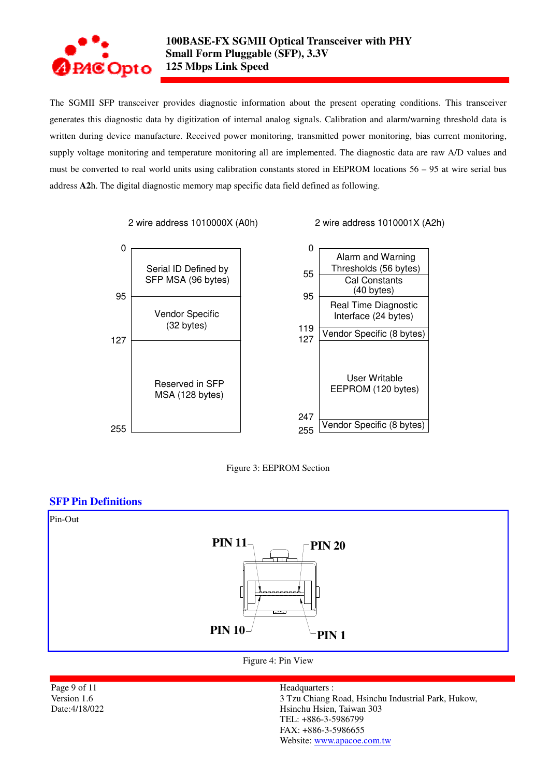

The SGMII SFP transceiver provides diagnostic information about the present operating conditions. This transceiver generates this diagnostic data by digitization of internal analog signals. Calibration and alarm/warning threshold data is written during device manufacture. Received power monitoring, transmitted power monitoring, bias current monitoring, supply voltage monitoring and temperature monitoring all are implemented. The diagnostic data are raw A/D values and must be converted to real world units using calibration constants stored in EEPROM locations 56 – 95 at wire serial bus address **A2**h. The digital diagnostic memory map specific data field defined as following.

2 wire address 1010000X (A0h) 2 wire address 1010001X (A2h)





### **SFP Pin Definitions**



Figure 4: Pin View

Page 9 of 11 Version 1.6 Date:4/18/022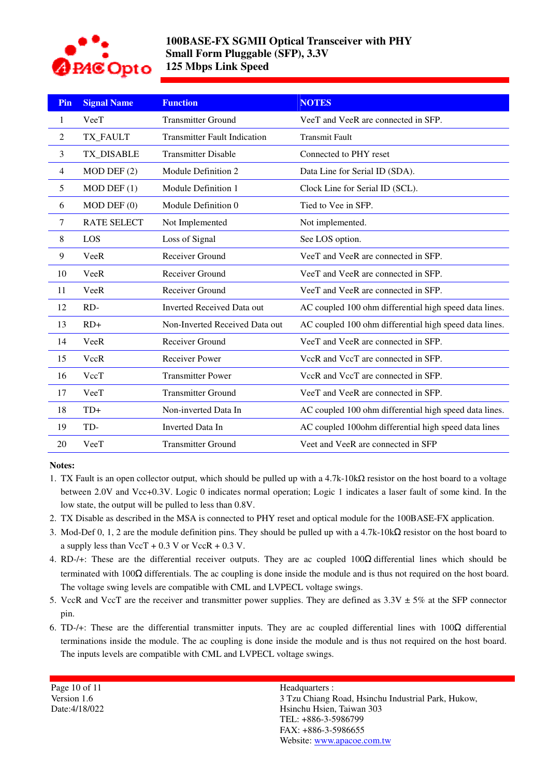

# **100BASE-FX SGMII Optical Transceiver with PHY Small Form Pluggable (SFP), 3.3V 125 Mbps Link Speed**

| Pin            | <b>Signal Name</b> | <b>Function</b>                     | <b>NOTES</b>                                           |
|----------------|--------------------|-------------------------------------|--------------------------------------------------------|
| 1              | VeeT               | <b>Transmitter Ground</b>           | VeeT and VeeR are connected in SFP.                    |
| $\overline{2}$ | TX_FAULT           | <b>Transmitter Fault Indication</b> | <b>Transmit Fault</b>                                  |
| 3              | TX_DISABLE         | <b>Transmitter Disable</b>          | Connected to PHY reset                                 |
| 4              | $MOD$ DEF $(2)$    | Module Definition 2                 | Data Line for Serial ID (SDA).                         |
| 5              | $MOD$ DEF $(1)$    | Module Definition 1                 | Clock Line for Serial ID (SCL).                        |
| 6              | $MOD$ DEF $(0)$    | Module Definition 0                 | Tied to Vee in SFP.                                    |
| $\tau$         | <b>RATE SELECT</b> | Not Implemented                     | Not implemented.                                       |
| 8              | LOS                | Loss of Signal                      | See LOS option.                                        |
| 9              | VeeR               | Receiver Ground                     | VeeT and VeeR are connected in SFP.                    |
| 10             | VeeR               | Receiver Ground                     | VeeT and VeeR are connected in SFP.                    |
| 11             | VeeR               | Receiver Ground                     | VeeT and VeeR are connected in SFP.                    |
| 12             | RD-                | <b>Inverted Received Data out</b>   | AC coupled 100 ohm differential high speed data lines. |
| 13             | $RD+$              | Non-Inverted Received Data out      | AC coupled 100 ohm differential high speed data lines. |
| 14             | VeeR               | Receiver Ground                     | VeeT and VeeR are connected in SFP.                    |
| 15             | VccR               | Receiver Power                      | VccR and VccT are connected in SFP.                    |
| 16             | VccT               | <b>Transmitter Power</b>            | VccR and VccT are connected in SFP.                    |
| 17             | VeeT               | <b>Transmitter Ground</b>           | VeeT and VeeR are connected in SFP.                    |
| 18             | $TD+$              | Non-inverted Data In                | AC coupled 100 ohm differential high speed data lines. |
| 19             | TD-                | <b>Inverted Data In</b>             | AC coupled 100ohm differential high speed data lines   |
| 20             | VeeT               | <b>Transmitter Ground</b>           | Veet and VeeR are connected in SFP                     |

#### **Notes:**

- 1. TX Fault is an open collector output, which should be pulled up with a 4.7k-10kΩ resistor on the host board to a voltage between 2.0V and Vcc+0.3V. Logic 0 indicates normal operation; Logic 1 indicates a laser fault of some kind. In the low state, the output will be pulled to less than 0.8V.
- 2. TX Disable as described in the MSA is connected to PHY reset and optical module for the 100BASE-FX application.
- 3. Mod-Def 0, 1, 2 are the module definition pins. They should be pulled up with a 4.7k-10kΩ resistor on the host board to a supply less than  $\text{VecT} + 0.3 \text{ V}$  or  $\text{VecR} + 0.3 \text{ V}$ .
- 4. RD-/+: These are the differential receiver outputs. They are ac coupled 100Ω differential lines which should be terminated with  $100\Omega$  differentials. The ac coupling is done inside the module and is thus not required on the host board. The voltage swing levels are compatible with CML and LVPECL voltage swings.
- 5. VccR and VccT are the receiver and transmitter power supplies. They are defined as  $3.3V \pm 5\%$  at the SFP connector pin.
- 6. TD-/+: These are the differential transmitter inputs. They are ac coupled differential lines with 100Ω differential terminations inside the module. The ac coupling is done inside the module and is thus not required on the host board. The inputs levels are compatible with CML and LVPECL voltage swings.

| Page 10 of $11$ |
|-----------------|
| Version 1.6     |
| Date:4/18/022   |